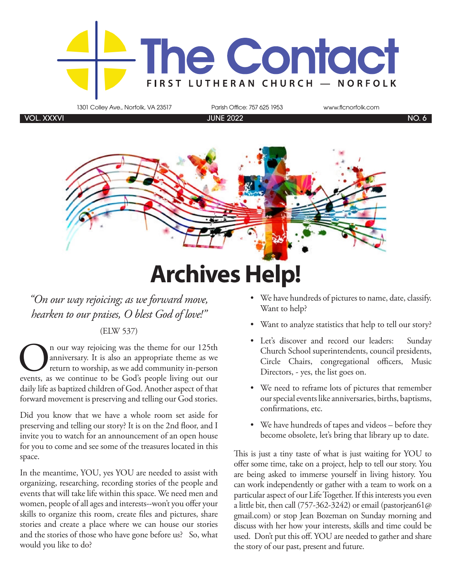

1301 Colley Ave., Norfolk, VA 23517 Parish Office: 757 625 1953 www.flcnorfolk.com

VOL. XXXVI JUNE 2022 NO. 6



## **Archives Help!**

*"On our way rejoicing; as we forward move, hearken to our praises, O blest God of love!"*

#### (ELW 537)

**On** our way rejoicing was the theme for our 125th anniversary. It is also an appropriate theme as we return to worship, as we add community in-person events, as we continue to be God's people living out our anniversary. It is also an appropriate theme as we return to worship, as we add community in-person daily life as baptized children of God. Another aspect of that forward movement is preserving and telling our God stories.

Did you know that we have a whole room set aside for preserving and telling our story? It is on the 2nd floor, and I invite you to watch for an announcement of an open house for you to come and see some of the treasures located in this space.

In the meantime, YOU, yes YOU are needed to assist with organizing, researching, recording stories of the people and events that will take life within this space. We need men and women, people of all ages and interests--won't you offer your skills to organize this room, create files and pictures, share stories and create a place where we can house our stories and the stories of those who have gone before us? So, what would you like to do?

- We have hundreds of pictures to name, date, classify. Want to help?
- Want to analyze statistics that help to tell our story?
- Let's discover and record our leaders: Sunday Church School superintendents, council presidents, Circle Chairs, congregational officers, Music Directors, - yes, the list goes on.
- We need to reframe lots of pictures that remember our special events like anniversaries, births, baptisms, confirmations, etc.
- We have hundreds of tapes and videos before they become obsolete, let's bring that library up to date.

This is just a tiny taste of what is just waiting for YOU to offer some time, take on a project, help to tell our story. You are being asked to immerse yourself in living history. You can work independently or gather with a team to work on a particular aspect of our Life Together. If this interests you even a little bit, then call (757-362-3242) or email (pastorjean61@ gmail.com) or stop Jean Bozeman on Sunday morning and discuss with her how your interests, skills and time could be used. Don't put this off. YOU are needed to gather and share the story of our past, present and future.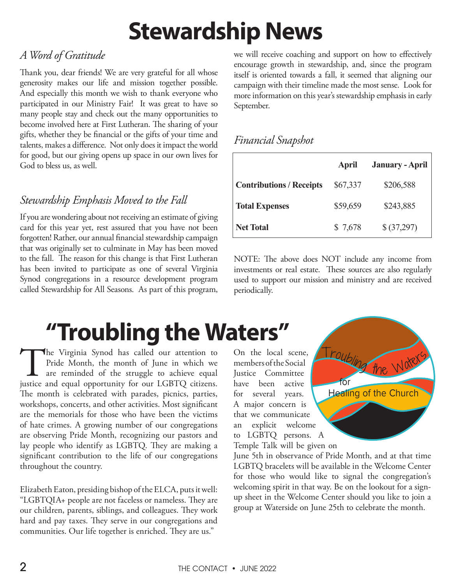## **Stewardship News**

### *A Word of Gratitude*

Thank you, dear friends! We are very grateful for all whose generosity makes our life and mission together possible. And especially this month we wish to thank everyone who participated in our Ministry Fair! It was great to have so many people stay and check out the many opportunities to become involved here at First Lutheran. The sharing of your gifts, whether they be financial or the gifts of your time and talents, makes a difference. Not only does it impact the world for good, but our giving opens up space in our own lives for God to bless us, as well.

### *Stewardship Emphasis Moved to the Fall*

If you are wondering about not receiving an estimate of giving card for this year yet, rest assured that you have not been forgotten! Rather, our annual financial stewardship campaign that was originally set to culminate in May has been moved to the fall. The reason for this change is that First Lutheran has been invited to participate as one of several Virginia Synod congregations in a resource development program called Stewardship for All Seasons. As part of this program,

we will receive coaching and support on how to effectively encourage growth in stewardship, and, since the program itself is oriented towards a fall, it seemed that aligning our campaign with their timeline made the most sense. Look for more information on this year's stewardship emphasis in early September.

#### *Financial Snapshot*

|                                 | April    | <b>January - April</b> |
|---------------------------------|----------|------------------------|
| <b>Contributions / Receipts</b> | \$67,337 | \$206,588              |
| <b>Total Expenses</b>           | \$59,659 | \$243,885              |
| <b>Net Total</b>                | \$7,678  | \$(37,297)             |

NOTE: The above does NOT include any income from investments or real estate. These sources are also regularly used to support our mission and ministry and are received periodically.

## **"Troubling the Waters"**

The Virginia Synod has called our attention to Pride Month, the month of June in which we are reminded of the struggle to achieve equal justice and equal opportunity for our LGBTQ citizens. Pride Month, the month of June in which we are reminded of the struggle to achieve equal The month is celebrated with parades, picnics, parties, workshops, concerts, and other activities. Most significant are the memorials for those who have been the victims of hate crimes. A growing number of our congregations are observing Pride Month, recognizing our pastors and lay people who identify as LGBTQ. They are making a significant contribution to the life of our congregations throughout the country.

Elizabeth Eaton, presiding bishop of the ELCA, puts it well: "LGBTQIA+ people are not faceless or nameless. They are our children, parents, siblings, and colleagues. They work hard and pay taxes. They serve in our congregations and communities. Our life together is enriched. They are us."

On the local scene, members of the Social Justice Committee have been active for several years. A major concern is that we communicate an explicit welcome to LGBTQ persons. A Temple Talk will be given on



LGBTQ bracelets will be available in the Welcome Center<br>for those who would like to signal the congregation's<br>welcoming spirit in that way. Be on the lookout for a sign-<br>ss. They are<br>p sheet in the Welcome Center should yo SECTION June 5th in observance of Pride Month, and at that time for those who would like to signal the congregation's welcoming spirit in that way. Be on the lookout for a signup sheet in the Welcome Center should you like to join a group at Waterside on June 25th to celebrate the month.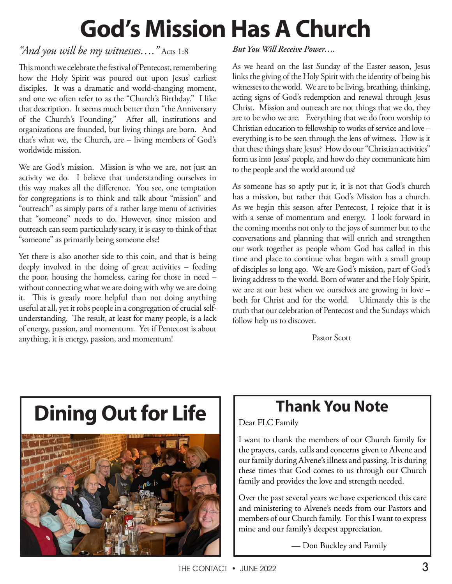# **God's Mission Has A Church**

#### *"And you will be my witnesses…."* Acts 1:8

This month we celebrate the festival of Pentecost, remembering how the Holy Spirit was poured out upon Jesus' earliest disciples. It was a dramatic and world-changing moment, and one we often refer to as the "Church's Birthday." I like that description. It seems much better than "the Anniversary of the Church's Founding." After all, institutions and organizations are founded, but living things are born. And that's what we, the Church, are – living members of God's worldwide mission.

We are God's mission. Mission is who we are, not just an activity we do. I believe that understanding ourselves in this way makes all the difference. You see, one temptation for congregations is to think and talk about "mission" and "outreach" as simply parts of a rather large menu of activities that "someone" needs to do. However, since mission and outreach can seem particularly scary, it is easy to think of that "someone" as primarily being someone else!

Yet there is also another side to this coin, and that is being deeply involved in the doing of great activities – feeding the poor, housing the homeless, caring for those in need – without connecting what we are doing with why we are doing it. This is greatly more helpful than not doing anything useful at all, yet it robs people in a congregation of crucial selfunderstanding. The result, at least for many people, is a lack of energy, passion, and momentum. Yet if Pentecost is about anything, it is energy, passion, and momentum!

#### *But You Will Receive Power….*

As we heard on the last Sunday of the Easter season, Jesus links the giving of the Holy Spirit with the identity of being his witnesses to the world. We are to be living, breathing, thinking, acting signs of God's redemption and renewal through Jesus Christ. Mission and outreach are not things that we do, they are to be who we are. Everything that we do from worship to Christian education to fellowship to works of service and love – everything is to be seen through the lens of witness. How is it that these things share Jesus? How do our "Christian activities" form us into Jesus' people, and how do they communicate him to the people and the world around us?

As someone has so aptly put it, it is not that God's church has a mission, but rather that God's Mission has a church. As we begin this season after Pentecost, I rejoice that it is with a sense of momentum and energy. I look forward in the coming months not only to the joys of summer but to the conversations and planning that will enrich and strengthen our work together as people whom God has called in this time and place to continue what began with a small group of disciples so long ago. We are God's mission, part of God's living address to the world. Born of water and the Holy Spirit, we are at our best when we ourselves are growing in love – both for Christ and for the world. Ultimately this is the truth that our celebration of Pentecost and the Sundays which follow help us to discover.

Pastor Scott

# **Dining Out for Life**



### **Thank You Note**

Dear FLC Family

I want to thank the members of our Church family for the prayers, cards, calls and concerns given to Alvene and our family during Alvene's illness and passing. It is during these times that God comes to us through our Church family and provides the love and strength needed.

Over the past several years we have experienced this care and ministering to Alvene's needs from our Pastors and members of our Church family. For this I want to express mine and our family's deepest appreciation.

— Don Buckley and Family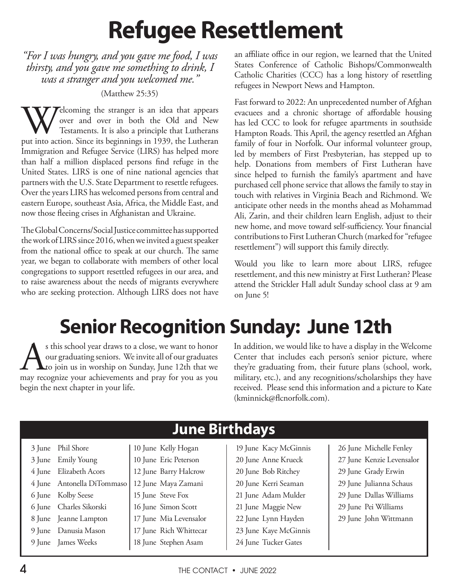# **Refugee Resettlement**

*"For I was hungry, and you gave me food, I was thirsty, and you gave me something to drink, I was a stranger and you welcomed me."* 

#### (Matthew 25:35)

Welcoming the stranger is an idea that appears over and over in both the Old and New Testaments. It is also a principle that Lutherans put into action. Since its beginnings in 1939, the Lutheran over and over in both the Old and New Testaments. It is also a principle that Lutherans Immigration and Refugee Service (LIRS) has helped more than half a million displaced persons find refuge in the United States. LIRS is one of nine national agencies that partners with the U.S. State Department to resettle refugees. Over the years LIRS has welcomed persons from central and eastern Europe, southeast Asia, Africa, the Middle East, and now those fleeing crises in Afghanistan and Ukraine.

The Global Concerns/Social Justice committee has supported the work of LIRS since 2016, when we invited a guest speaker from the national office to speak at our church. The same year, we began to collaborate with members of other local congregations to support resettled refugees in our area, and to raise awareness about the needs of migrants everywhere who are seeking protection. Although LIRS does not have an affiliate office in our region, we learned that the United States Conference of Catholic Bishops/Commonwealth Catholic Charities (CCC) has a long history of resettling refugees in Newport News and Hampton.

Fast forward to 2022: An unprecedented number of Afghan evacuees and a chronic shortage of affordable housing has led CCC to look for refugee apartments in southside Hampton Roads. This April, the agency resettled an Afghan family of four in Norfolk. Our informal volunteer group, led by members of First Presbyterian, has stepped up to help. Donations from members of First Lutheran have since helped to furnish the family's apartment and have purchased cell phone service that allows the family to stay in touch with relatives in Virginia Beach and Richmond. We anticipate other needs in the months ahead as Mohammad Ali, Zarin, and their children learn English, adjust to their new home, and move toward self-sufficiency. Your financial contributions to First Lutheran Church (marked for "refugee resettlement") will support this family directly.

Would you like to learn more about LIRS, refugee resettlement, and this new ministry at First Lutheran? Please attend the Strickler Hall adult Sunday school class at 9 am on June 5!

### **Senior Recognition Sunday: June 12th**

s this school year draws to a close, we want to honor<br>our graduating seniors. We invite all of our graduates<br>to join us in worship on Sunday, June 12th that we<br>may recognize your achievements and pray for you as you our graduating seniors. We invite all of our graduates to join us in worship on Sunday, June 12th that we may recognize your achievements and pray for you as you begin the next chapter in your life.

In addition, we would like to have a display in the Welcome Center that includes each person's senior picture, where they're graduating from, their future plans (school, work, military, etc.), and any recognitions/scholarships they have received. Please send this information and a picture to Kate (kminnick@flcnorfolk.com).

|  |                            | JANG DII GIRAYY        |                       |                           |
|--|----------------------------|------------------------|-----------------------|---------------------------|
|  | 3 June Phil Shore          | 10 June Kelly Hogan    | 19 June Kacy McGinnis | 26 June Michelle Fenley   |
|  | 3 June Emily Young         | 10 June Eric Peterson  | 20 June Anne Krueck   | 27 June Kenzie Levensalor |
|  | 4 June Elizabeth Acors     | 12 June Barry Halcrow  | 20 June Bob Ritchey   | 29 June Grady Erwin       |
|  | 4 June Antonella DiTommaso | 12 June Maya Zamani    | 20 June Kerri Seaman  | 29 June Julianna Schaus   |
|  | 6 June Kolby Seese         | 15 June Steve Fox      | 21 June Adam Mulder   | 29 June Dallas Williams   |
|  | 6 June Charles Sikorski    | 16 June Simon Scott    | 21 June Maggie New    | 29 June Pei Williams      |
|  | 8 June Jeanne Lampton      | 17 June Mia Levensalor | 22 June Lynn Hayden   | 29 June John Wittmann     |
|  | 9 June Danusia Mason       | 17 June Rich Whittecar | 23 June Kaye McGinnis |                           |
|  | 9 June James Weeks         | 18 June Stephen Asam   | 24 June Tucker Gates  |                           |
|  |                            |                        |                       |                           |

**June Birthdays**

 $\overline{4}$  THE CONTACT  $\overline{6}$  JUNE 2022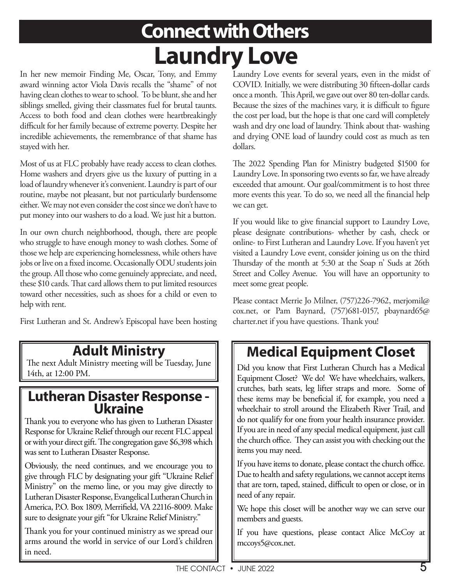## **Connect with Others Laundry Love**

In her new memoir Finding Me, Oscar, Tony, and Emmy award winning actor Viola Davis recalls the "shame" of not having clean clothes to wear to school. To be blunt, she and her siblings smelled, giving their classmates fuel for brutal taunts. Access to both food and clean clothes were heartbreakingly difficult for her family because of extreme poverty. Despite her incredible achievements, the remembrance of that shame has stayed with her.

Most of us at FLC probably have ready access to clean clothes. Home washers and dryers give us the luxury of putting in a load of laundry whenever it's convenient. Laundry is part of our routine, maybe not pleasant, but not particularly burdensome either. We may not even consider the cost since we don't have to put money into our washers to do a load. We just hit a button.

In our own church neighborhood, though, there are people who struggle to have enough money to wash clothes. Some of those we help are experiencing homelessness, while others have jobs or live on a fixed income. Occasionally ODU students join the group. All those who come genuinely appreciate, and need, these \$10 cards. That card allows them to put limited resources toward other necessities, such as shoes for a child or even to help with rent.

First Lutheran and St. Andrew's Episcopal have been hosting

### **Adult Ministry**

The next Adult Ministry meeting will be Tuesday, June 14th, at 12:00 PM.

## **Lutheran Disaster Response - Ukraine**

Thank you to everyone who has given to Lutheran Disaster Response for Ukraine Relief through our recent FLC appeal or with your direct gift. The congregation gave \$6,398 which was sent to Lutheran Disaster Response.

Obviously, the need continues, and we encourage you to give through FLC by designating your gift "Ukraine Relief Ministry" on the memo line, or you may give directly to Lutheran Disaster Response, Evangelical Lutheran Church in America, P.O. Box 1809, Merrifield, VA 22116-8009. Make sure to designate your gift "for Ukraine Relief Ministry."

Thank you for your continued ministry as we spread our arms around the world in service of our Lord's children in need.

Laundry Love events for several years, even in the midst of COVID. Initially, we were distributing 30 fifteen-dollar cards once a month. This April, we gave out over 80 ten-dollar cards. Because the sizes of the machines vary, it is difficult to figure the cost per load, but the hope is that one card will completely wash and dry one load of laundry. Think about that- washing and drying ONE load of laundry could cost as much as ten dollars.

The 2022 Spending Plan for Ministry budgeted \$1500 for Laundry Love. In sponsoring two events so far, we have already exceeded that amount. Our goal/commitment is to host three more events this year. To do so, we need all the financial help we can get.

If you would like to give financial support to Laundry Love, please designate contributions- whether by cash, check or online- to First Lutheran and Laundry Love. If you haven't yet visited a Laundry Love event, consider joining us on the third Thursday of the month at 5:30 at the Soap n' Suds at 26th Street and Colley Avenue. You will have an opportunity to meet some great people.

Please contact Merrie Jo Milner, (757)226-7962, merjomil@ cox.net, or Pam Baynard, (757)681-0157, pbaynard65@ charter.net if you have questions. Thank you!

### **Medical Equipment Closet**

Did you know that First Lutheran Church has a Medical Equipment Closet? We do! We have wheelchairs, walkers, crutches, bath seats, leg lifter straps and more. Some of these items may be beneficial if, for example, you need a wheelchair to stroll around the Elizabeth River Trail, and do not qualify for one from your health insurance provider. If you are in need of any special medical equipment, just call the church office. They can assist you with checking out the items you may need.

If you have items to donate, please contact the church office. Due to health and safety regulations, we cannot accept items that are torn, taped, stained, difficult to open or close, or in need of any repair.

We hope this closet will be another way we can serve our members and guests.

If you have questions, please contact Alice McCoy at mccoys5@cox.net.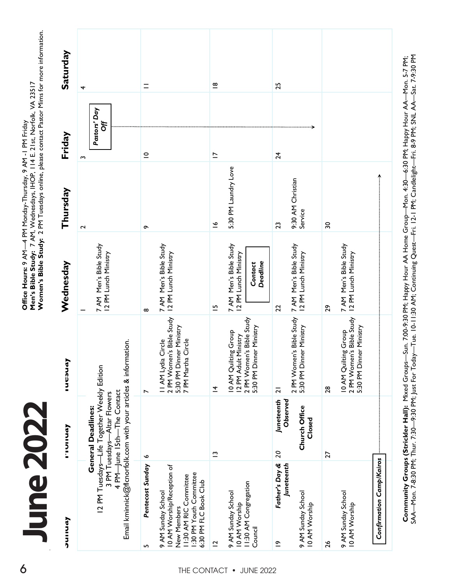June 20 **June 2022**

| 6           | <b>June 2022</b>                                                                                                                              |                                                                                                                                       |                                                                                                 | Women's Bible Study: 2 PM Tuesdays online, please contact Pastor Mims for more information.<br>Office Hours: 9 AM—4 PM Monday-Thursday, 9 AM -I PM Friday<br>Men's Bible Study: 7 AM, Wednesdays, IHOP, 114 E. 21st, Norfolk, VA 23517 |                              |                          |                         |
|-------------|-----------------------------------------------------------------------------------------------------------------------------------------------|---------------------------------------------------------------------------------------------------------------------------------------|-------------------------------------------------------------------------------------------------|----------------------------------------------------------------------------------------------------------------------------------------------------------------------------------------------------------------------------------------|------------------------------|--------------------------|-------------------------|
|             | ヘマコニフク                                                                                                                                        | <b>Loninis</b>                                                                                                                        | lucaud,                                                                                         | Wednesday                                                                                                                                                                                                                              | Thursday                     | Friday                   | Saturday                |
|             | Email kminnick@flcnorfolk.com with your articles & information.                                                                               | 12 PM Tuesdays-Life Together Weekly Edition<br>4 PM-June 15th-The Contact<br>3 PM Tuesdays-Altar Flowers<br><b>General Deadlines:</b> |                                                                                                 | 7 AM Men's Bible Study<br>12 PM Lunch Ministry                                                                                                                                                                                         | $\sim$                       | Pastors' Day<br>Off<br>ω | 4                       |
|             | Pentecost Sunday<br>S                                                                                                                         | ∾                                                                                                                                     | $\overline{ }$                                                                                  | $\infty$                                                                                                                                                                                                                               | ç                            | $\subseteq$              | $\equiv$                |
| THE CONTACT | 10 AM Worship/Reception of<br>1:30 PM Youth Committee<br>II:30 AM RIC Committee<br>6:30 PM FLC Book Club<br>9 AM Sunday School<br>New Members |                                                                                                                                       | 2 PM Women's Bible Study<br>5:30 PM Dinner Ministry<br>7 PM Martha Circle<br>II AM Lydia Circle | 7 AM Men's Bible Study<br>12 PM Lunch Ministry                                                                                                                                                                                         |                              |                          |                         |
|             | $\overline{C}$                                                                                                                                | $\tilde{ }$                                                                                                                           | 호                                                                                               | $\overline{5}$                                                                                                                                                                                                                         | $\tilde{=}$                  | $\overline{\phantom{0}}$ | $\frac{\infty}{\infty}$ |
|             | 11:30 AM Congregation<br>9 AM Sunday School<br>10 AM Worship                                                                                  |                                                                                                                                       | 2 PM Women's Bible Study<br>10 AM Quilting Group<br>12 PM Adult Ministry                        | 7 AM Men's Bible Study<br>12 PM Lunch Ministry                                                                                                                                                                                         | 5:30 PM Laundry Love         |                          |                         |
| • JUNE 2022 | Council                                                                                                                                       |                                                                                                                                       | 5:30 PM Dinner Ministry                                                                         | Deadline<br>Contact                                                                                                                                                                                                                    |                              |                          |                         |
|             | Father's Day &<br>Juneteenth<br>$\tilde{=}$                                                                                                   | Juneteenth<br>Observed<br>20                                                                                                          | $\overline{a}$                                                                                  | 22                                                                                                                                                                                                                                     | 23                           | $\overline{24}$          | 25                      |
|             | 9 AM Sunday School<br>10 AM Worship                                                                                                           | Church Office<br>Closed                                                                                                               | 2 PM Women's Bible Study<br>5:30 PM Dinner Ministry                                             | 7 AM Men's Bible Study<br>12 PM Lunch Ministry                                                                                                                                                                                         | 9:30 AM Christian<br>Service |                          |                         |
|             | $\frac{26}{5}$                                                                                                                                | 27                                                                                                                                    | 28                                                                                              | 29                                                                                                                                                                                                                                     | $\overline{\mathbf{30}}$     |                          |                         |
|             | 9 AM Sunday School<br>10 AM Worship                                                                                                           |                                                                                                                                       | 10 AM Quilting Group<br>2 PM Women's Bible Study<br>5:30 PM Dinner Ministry                     | 7 AM Men's Bible Study<br>12 PM Lunch Ministry                                                                                                                                                                                         |                              |                          |                         |
|             | <b>Confirmation Camp/Kairos</b>                                                                                                               |                                                                                                                                       |                                                                                                 |                                                                                                                                                                                                                                        | $\uparrow$                   |                          |                         |
|             |                                                                                                                                               |                                                                                                                                       |                                                                                                 |                                                                                                                                                                                                                                        |                              |                          |                         |

Community Groups (Strickler Hall): Mixed Groups—Sun. 7:00-9:30 PM; Happy Hour AA Home Group—Mon. 4:30—6:30 PM; Happy Hour AA—Mon. 5-7 PM;<br>SAA—Mon. 7-8:30 PM; Thur. 7:30—9:30 PM; Just For Today—Tue. 10-11:30 AM; Continuing **Community Groups (Strickler Hall):** Mixed Groups—Sun. 7:00-9:30 PM; Happy Hour AA Home Group—Mon. 4:30—6:30 PM; Happy Hour AA—Mon. 5-7 PM; SAA—Mon. 7-8:30 PM; Thur. 7:30—9:30 PM; Just For Today—Tue. 10-11:30 AM; Continuing Quest—Fri. 12-1 PM; Candlelight—Fri. 8-9 PM; SNL AA—Sat. 7-9:30 PM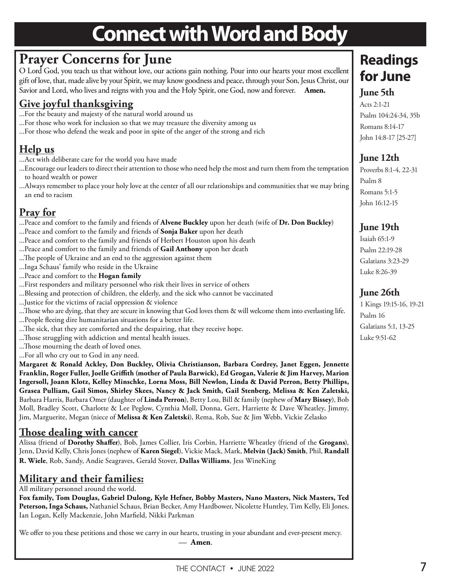### **Connect with Word and Body**

### **Prayer Concerns for June**

O Lord God, you teach us that without love, our actions gain nothing. Pour into our hearts your most excellent gift of love, that, made alive by your Spirit, we may know goodness and peace, through your Son, Jesus Christ, our Savior and Lord, who lives and reigns with you and the Holy Spirit, one God, now and forever. **Amen.**

### **Give joyful thanksgiving**

- ...For the beauty and majesty of the natural world around us
- ...For those who work for inclusion so that we may treasure the diversity among us
- ...For those who defend the weak and poor in spite of the anger of the strong and rich

### **Help us**

- ...Act with deliberate care for the world you have made
- ...Encourage our leaders to direct their attention to those who need help the most and turn them from the temptation to hoard wealth or power
- ...Always remember to place your holy love at the center of all our relationships and communities that we may bring an end to racism

### **Pray for**

...Peace and comfort to the family and friends of **Alvene Buckley** upon her death (wife of **Dr. Don Buckley**)

- ...Peace and comfort to the family and friends of **Sonja Baker** upon her death
- ...Peace and comfort to the family and friends of Herbert Houston upon his death
- ...Peace and comfort to the family and friends of **Gail Anthony** upon her death
- ...The people of Ukraine and an end to the aggression against them
- ...Inga Schaus' family who reside in the Ukraine
- ...Peace and comfort to the **Hogan family**
- ...First responders and military personnel who risk their lives in service of others
- ...Blessing and protection of children, the elderly, and the sick who cannot be vaccinated
- ...Justice for the victims of racial oppression & violence
- ...Those who are dying, that they are secure in knowing that God loves them & will welcome them into everlasting life.
- ...People fleeing dire humanitarian situations for a better life.
- ...The sick, that they are comforted and the despairing, that they receive hope.
- ...Those struggling with addiction and mental health issues.
- ...Those mourning the death of loved ones.
- ...For all who cry out to God in any need.

**Margaret & Ronald Ackley, Don Buckley, Olivia Christianson, Barbara Cordrey, Janet Eggen, Jennette Franklin, Roger Fuller, Joelle Griffith (mother of Paula Barwick), Ed Grogan, Valerie & Jim Harvey, Marion Ingersoll, Joann Klotz, Kelley Minschke, Lorna Moss, Bill Newlon, Linda & David Perron, Betty Phillips, Grasea Pulliam, Gail Simos, Shirley Skees, Nancy & Jack Smith, Gail Stenberg, Melissa & Ken Zaletski,**  Barbara Harris, Barbara Omer (daughter of **Linda Perron**), Betty Lou, Bill & family (nephew of **Mary Bissey**), Bob Moll, Bradley Scott, Charlotte & Lee Peglow, Cynthia Moll, Donna, Gert, Harriette & Dave Wheatley, Jimmy, Jim, Marguerite, Megan (niece of **Melissa & Ken Zaletski**), Rema, Rob, Sue & Jim Webb, Vickie Zelasko

#### **Those dealing with cancer**

Alissa (friend of **Dorothy Shaffer**), Bob, James Collier, Iris Corbin, Harriette Wheatley (friend of the **Grogans**), Jenn, David Kelly, Chris Jones (nephew of **Karen Siegel**), Vickie Mack, Mark, **Melvin (Jack) Smith**, Phil, **Randall R. Wiele**, Rob, Sandy, Andie Seagraves, Gerald Stover, **Dallas Williams**, Jess WineKing

### **Military and their families:**

All military personnel around the world.

**Fox family, Tom Douglas, Gabriel Dulong, Kyle Hefner, Bobby Masters, Nano Masters, Nick Masters, Ted Peterson, Inga Schaus,** Nathaniel Schaus, Brian Becker, Amy Hardbower, Nicolette Huntley, Tim Kelly, Eli Jones, Ian Logan, Kelly Mackenzie, John Marfield, Nikki Parkman

We offer to you these petitions and those we carry in our hearts, trusting in your abundant and ever-present mercy. — **Amen**.

### **Readings for June**

#### **June 5th**

Acts 2:1-21 Psalm 104:24-34, 35b Romans 8:14-17 John 14:8-17 [25-27]

#### **June 12th**

Proverbs 8:1-4, 22-31 Psalm 8 Romans 5:1-5 John 16:12-15

#### **June 19th**

Isaiah 65:1-9 Psalm 22:19-28 Galatians 3:23-29 Luke 8:26-39

#### **June 26th**

1 Kings 19:15-16, 19-21 Psalm 16 Galatians 5:1, 13-25 Luke 9:51-62